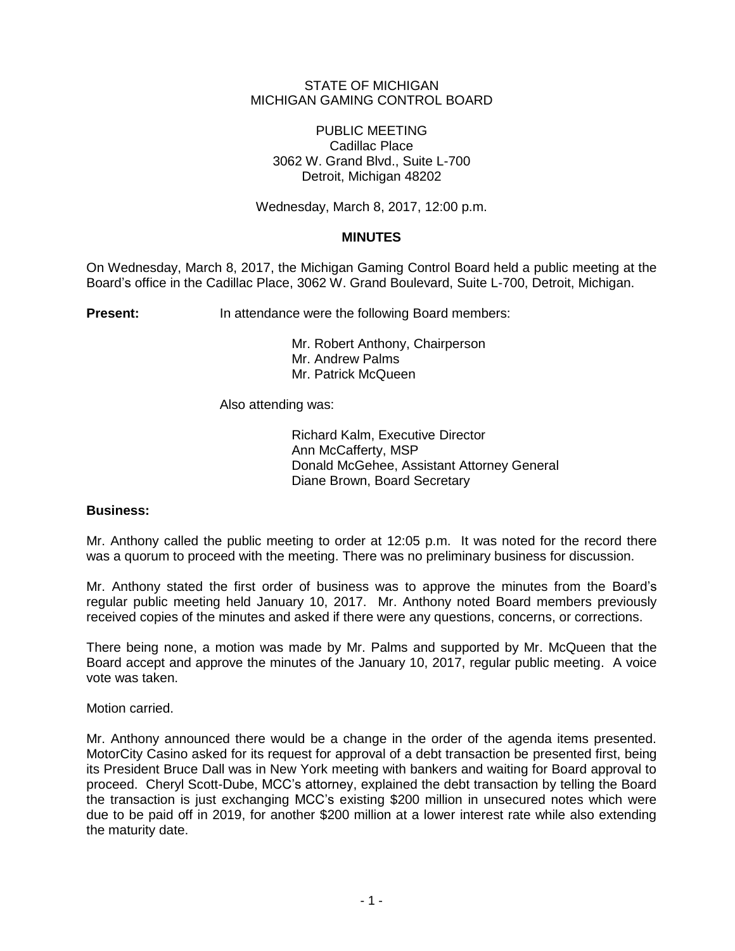# STATE OF MICHIGAN MICHIGAN GAMING CONTROL BOARD

PUBLIC MEETING Cadillac Place 3062 W. Grand Blvd., Suite L-700 Detroit, Michigan 48202

Wednesday, March 8, 2017, 12:00 p.m.

# **MINUTES**

On Wednesday, March 8, 2017, the Michigan Gaming Control Board held a public meeting at the Board's office in the Cadillac Place, 3062 W. Grand Boulevard, Suite L-700, Detroit, Michigan.

**Present:** In attendance were the following Board members:

Mr. Robert Anthony, Chairperson Mr. Andrew Palms Mr. Patrick McQueen

Also attending was:

Richard Kalm, Executive Director Ann McCafferty, MSP Donald McGehee, Assistant Attorney General Diane Brown, Board Secretary

## **Business:**

Mr. Anthony called the public meeting to order at 12:05 p.m. It was noted for the record there was a quorum to proceed with the meeting. There was no preliminary business for discussion.

Mr. Anthony stated the first order of business was to approve the minutes from the Board's regular public meeting held January 10, 2017. Mr. Anthony noted Board members previously received copies of the minutes and asked if there were any questions, concerns, or corrections.

There being none, a motion was made by Mr. Palms and supported by Mr. McQueen that the Board accept and approve the minutes of the January 10, 2017, regular public meeting. A voice vote was taken.

Motion carried.

Mr. Anthony announced there would be a change in the order of the agenda items presented. MotorCity Casino asked for its request for approval of a debt transaction be presented first, being its President Bruce Dall was in New York meeting with bankers and waiting for Board approval to proceed. Cheryl Scott-Dube, MCC's attorney, explained the debt transaction by telling the Board the transaction is just exchanging MCC's existing \$200 million in unsecured notes which were due to be paid off in 2019, for another \$200 million at a lower interest rate while also extending the maturity date.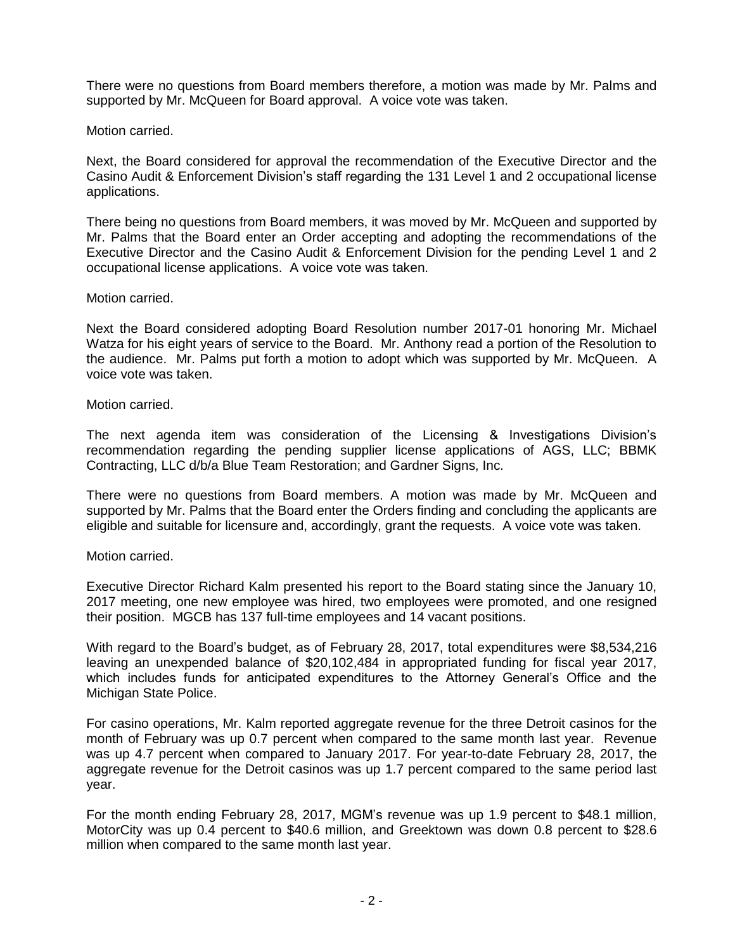There were no questions from Board members therefore, a motion was made by Mr. Palms and supported by Mr. McQueen for Board approval. A voice vote was taken.

## Motion carried.

Next, the Board considered for approval the recommendation of the Executive Director and the Casino Audit & Enforcement Division's staff regarding the 131 Level 1 and 2 occupational license applications.

There being no questions from Board members, it was moved by Mr. McQueen and supported by Mr. Palms that the Board enter an Order accepting and adopting the recommendations of the Executive Director and the Casino Audit & Enforcement Division for the pending Level 1 and 2 occupational license applications. A voice vote was taken.

# Motion carried.

Next the Board considered adopting Board Resolution number 2017-01 honoring Mr. Michael Watza for his eight years of service to the Board. Mr. Anthony read a portion of the Resolution to the audience. Mr. Palms put forth a motion to adopt which was supported by Mr. McQueen. A voice vote was taken.

# Motion carried.

The next agenda item was consideration of the Licensing & Investigations Division's recommendation regarding the pending supplier license applications of AGS, LLC; BBMK Contracting, LLC d/b/a Blue Team Restoration; and Gardner Signs, Inc.

There were no questions from Board members. A motion was made by Mr. McQueen and supported by Mr. Palms that the Board enter the Orders finding and concluding the applicants are eligible and suitable for licensure and, accordingly, grant the requests. A voice vote was taken.

# Motion carried.

Executive Director Richard Kalm presented his report to the Board stating since the January 10, 2017 meeting, one new employee was hired, two employees were promoted, and one resigned their position. MGCB has 137 full-time employees and 14 vacant positions.

With regard to the Board's budget, as of February 28, 2017, total expenditures were \$8,534,216 leaving an unexpended balance of \$20,102,484 in appropriated funding for fiscal year 2017, which includes funds for anticipated expenditures to the Attorney General's Office and the Michigan State Police.

For casino operations, Mr. Kalm reported aggregate revenue for the three Detroit casinos for the month of February was up 0.7 percent when compared to the same month last year. Revenue was up 4.7 percent when compared to January 2017. For year-to-date February 28, 2017, the aggregate revenue for the Detroit casinos was up 1.7 percent compared to the same period last year.

For the month ending February 28, 2017, MGM's revenue was up 1.9 percent to \$48.1 million, MotorCity was up 0.4 percent to \$40.6 million, and Greektown was down 0.8 percent to \$28.6 million when compared to the same month last year.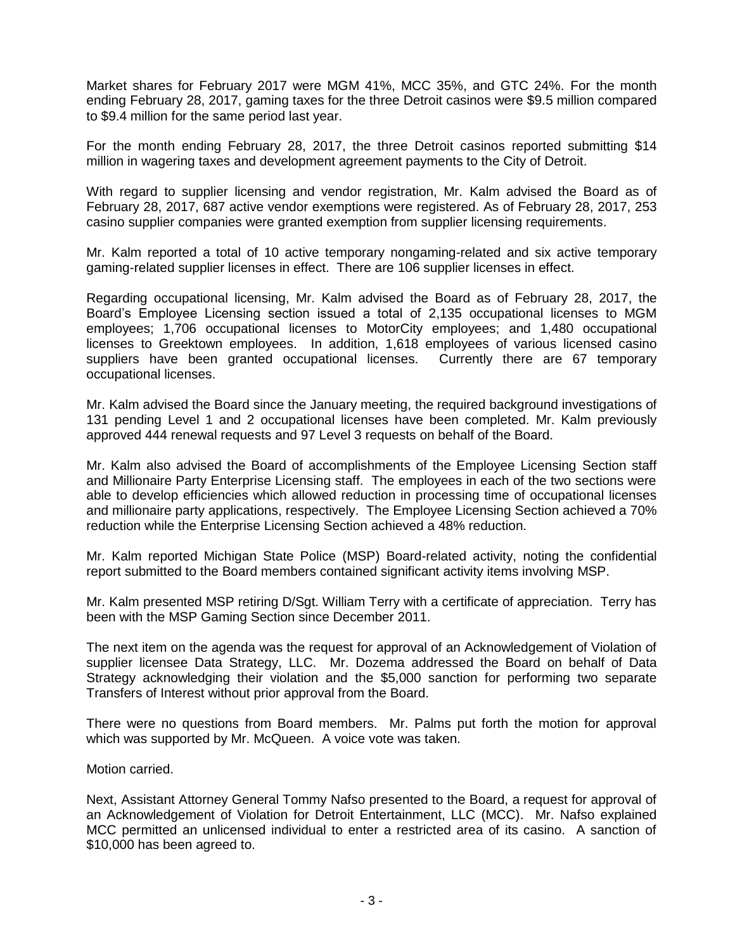Market shares for February 2017 were MGM 41%, MCC 35%, and GTC 24%. For the month ending February 28, 2017, gaming taxes for the three Detroit casinos were \$9.5 million compared to \$9.4 million for the same period last year.

For the month ending February 28, 2017, the three Detroit casinos reported submitting \$14 million in wagering taxes and development agreement payments to the City of Detroit.

With regard to supplier licensing and vendor registration, Mr. Kalm advised the Board as of February 28, 2017, 687 active vendor exemptions were registered. As of February 28, 2017, 253 casino supplier companies were granted exemption from supplier licensing requirements.

Mr. Kalm reported a total of 10 active temporary nongaming-related and six active temporary gaming-related supplier licenses in effect. There are 106 supplier licenses in effect.

Regarding occupational licensing, Mr. Kalm advised the Board as of February 28, 2017, the Board's Employee Licensing section issued a total of 2,135 occupational licenses to MGM employees; 1,706 occupational licenses to MotorCity employees; and 1,480 occupational licenses to Greektown employees. In addition, 1,618 employees of various licensed casino suppliers have been granted occupational licenses. Currently there are 67 temporary occupational licenses.

Mr. Kalm advised the Board since the January meeting, the required background investigations of 131 pending Level 1 and 2 occupational licenses have been completed. Mr. Kalm previously approved 444 renewal requests and 97 Level 3 requests on behalf of the Board.

Mr. Kalm also advised the Board of accomplishments of the Employee Licensing Section staff and Millionaire Party Enterprise Licensing staff. The employees in each of the two sections were able to develop efficiencies which allowed reduction in processing time of occupational licenses and millionaire party applications, respectively. The Employee Licensing Section achieved a 70% reduction while the Enterprise Licensing Section achieved a 48% reduction.

Mr. Kalm reported Michigan State Police (MSP) Board-related activity, noting the confidential report submitted to the Board members contained significant activity items involving MSP.

Mr. Kalm presented MSP retiring D/Sgt. William Terry with a certificate of appreciation. Terry has been with the MSP Gaming Section since December 2011.

The next item on the agenda was the request for approval of an Acknowledgement of Violation of supplier licensee Data Strategy, LLC. Mr. Dozema addressed the Board on behalf of Data Strategy acknowledging their violation and the \$5,000 sanction for performing two separate Transfers of Interest without prior approval from the Board.

There were no questions from Board members. Mr. Palms put forth the motion for approval which was supported by Mr. McQueen. A voice vote was taken.

Motion carried.

Next, Assistant Attorney General Tommy Nafso presented to the Board, a request for approval of an Acknowledgement of Violation for Detroit Entertainment, LLC (MCC). Mr. Nafso explained MCC permitted an unlicensed individual to enter a restricted area of its casino. A sanction of \$10,000 has been agreed to.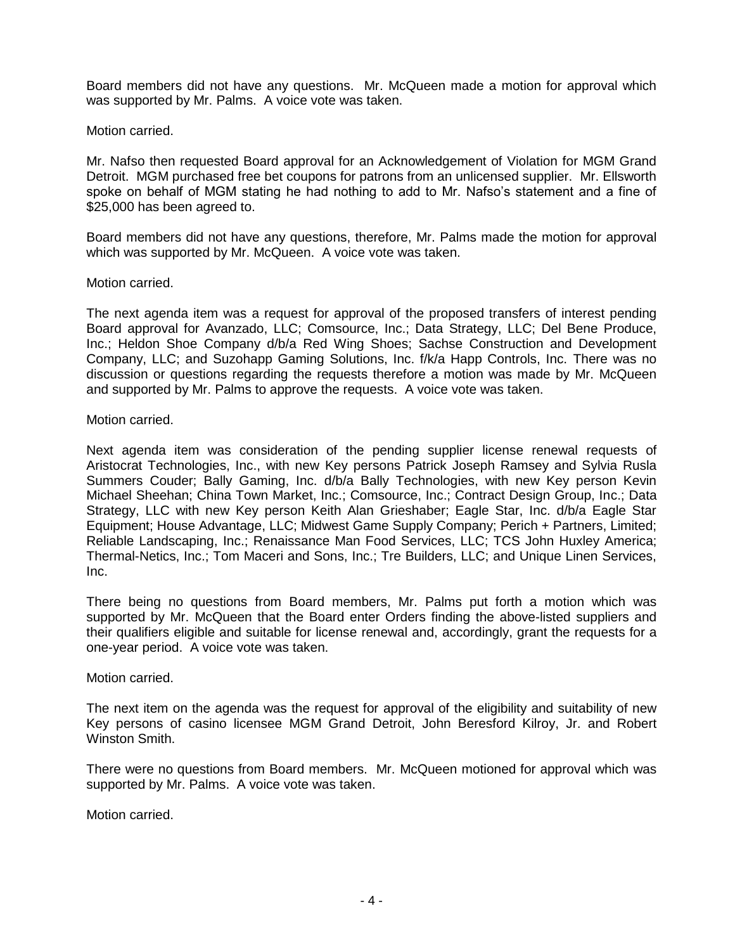Board members did not have any questions. Mr. McQueen made a motion for approval which was supported by Mr. Palms. A voice vote was taken.

## Motion carried.

Mr. Nafso then requested Board approval for an Acknowledgement of Violation for MGM Grand Detroit. MGM purchased free bet coupons for patrons from an unlicensed supplier. Mr. Ellsworth spoke on behalf of MGM stating he had nothing to add to Mr. Nafso's statement and a fine of \$25,000 has been agreed to.

Board members did not have any questions, therefore, Mr. Palms made the motion for approval which was supported by Mr. McQueen. A voice vote was taken.

#### Motion carried.

The next agenda item was a request for approval of the proposed transfers of interest pending Board approval for Avanzado, LLC; Comsource, Inc.; Data Strategy, LLC; Del Bene Produce, Inc.; Heldon Shoe Company d/b/a Red Wing Shoes; Sachse Construction and Development Company, LLC; and Suzohapp Gaming Solutions, Inc. f/k/a Happ Controls, Inc. There was no discussion or questions regarding the requests therefore a motion was made by Mr. McQueen and supported by Mr. Palms to approve the requests. A voice vote was taken.

## Motion carried.

Next agenda item was consideration of the pending supplier license renewal requests of Aristocrat Technologies, Inc., with new Key persons Patrick Joseph Ramsey and Sylvia Rusla Summers Couder; Bally Gaming, Inc. d/b/a Bally Technologies, with new Key person Kevin Michael Sheehan; China Town Market, Inc.; Comsource, Inc.; Contract Design Group, Inc.; Data Strategy, LLC with new Key person Keith Alan Grieshaber; Eagle Star, Inc. d/b/a Eagle Star Equipment; House Advantage, LLC; Midwest Game Supply Company; Perich + Partners, Limited; Reliable Landscaping, Inc.; Renaissance Man Food Services, LLC; TCS John Huxley America; Thermal-Netics, Inc.; Tom Maceri and Sons, Inc.; Tre Builders, LLC; and Unique Linen Services, Inc.

There being no questions from Board members, Mr. Palms put forth a motion which was supported by Mr. McQueen that the Board enter Orders finding the above-listed suppliers and their qualifiers eligible and suitable for license renewal and, accordingly, grant the requests for a one-year period. A voice vote was taken.

## Motion carried.

The next item on the agenda was the request for approval of the eligibility and suitability of new Key persons of casino licensee MGM Grand Detroit, John Beresford Kilroy, Jr. and Robert Winston Smith.

There were no questions from Board members. Mr. McQueen motioned for approval which was supported by Mr. Palms. A voice vote was taken.

Motion carried.